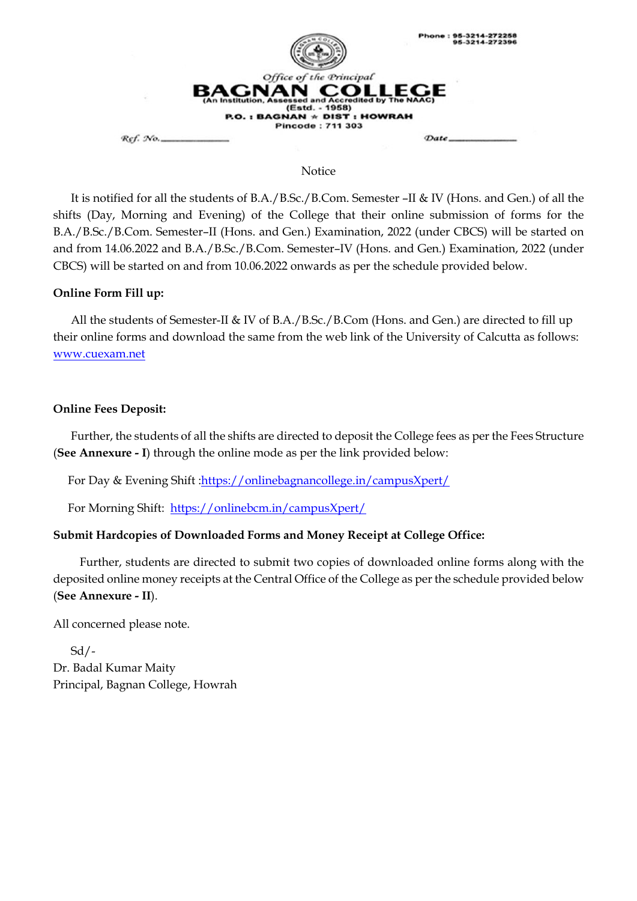

#### Notice

 It is notified for all the students of B.A./B.Sc./B.Com. Semester –II & IV (Hons. and Gen.) of all the shifts (Day, Morning and Evening) of the College that their online submission of forms for the B.A./B.Sc./B.Com. Semester–II (Hons. and Gen.) Examination, 2022 (under CBCS) will be started on and from 14.06.2022 and B.A./B.Sc./B.Com. Semester–IV (Hons. and Gen.) Examination, 2022 (under CBCS) will be started on and from 10.06.2022 onwards as per the schedule provided below.

### **Online Form Fill up:**

All the students of Semester-II & IV of B.A./B.Sc./B.Com (Hons. and Gen.) are directed to fill up their online forms and download the same from the web link of the University of Calcutta as follows: [www.cuexam.net](http://www.cuexam.net/)

#### **Online Fees Deposit:**

 Further, the students of all the shifts are directed to deposit the College fees as per the Fees Structure (**See Annexure - I**) through the online mode as per the link provided below:

For Day & Evening Shift [:https://onlinebagnancollege.in/campusXpert/](https://onlinebagnancollege.in/campusXpert/)

For Morning Shift: <https://onlinebcm.in/campusXpert/>

### **Submit Hardcopies of Downloaded Forms and Money Receipt at College Office:**

 Further, students are directed to submit two copies of downloaded online forms along with the deposited online money receipts at the Central Office of the College as per the schedule provided below (**See Annexure - II**).

All concerned please note.

 Sd/- Dr. Badal Kumar Maity Principal, Bagnan College, Howrah